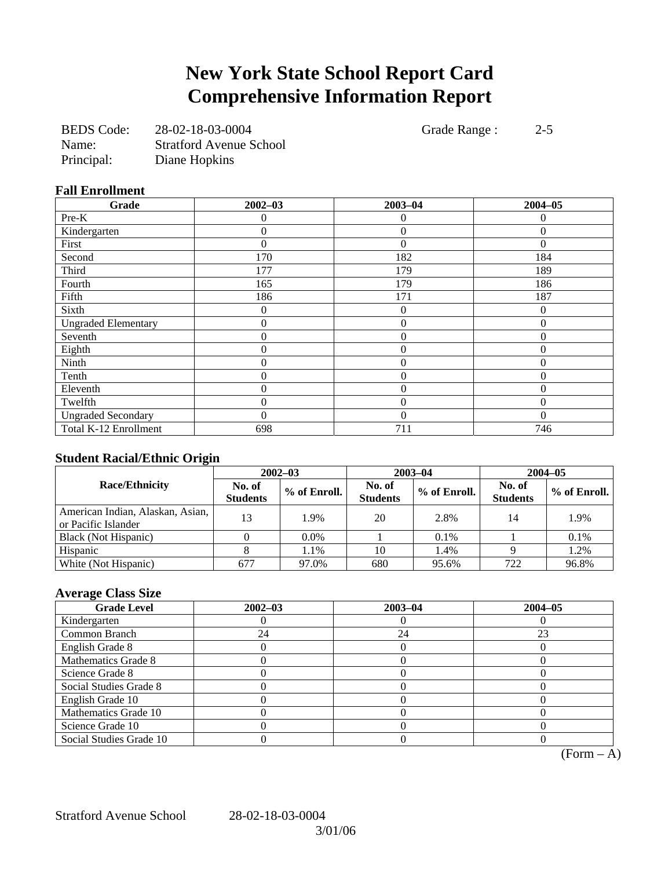# **New York State School Report Card Comprehensive Information Report**

| <b>BEDS</b> Code: | 28-02-18-03-0004               |
|-------------------|--------------------------------|
| Name:             | <b>Stratford Avenue School</b> |
| Principal:        | Diane Hopkins                  |

Grade Range : 2-5

### **Fall Enrollment**

| Grade                      | $2002 - 03$ | $2003 - 04$      | $2004 - 05$ |
|----------------------------|-------------|------------------|-------------|
| Pre-K                      | 0           | $\theta$         | 0           |
| Kindergarten               | 0           | $\boldsymbol{0}$ | $\theta$    |
| First                      | 0           | $\theta$         |             |
| Second                     | 170         | 182              | 184         |
| Third                      | 177         | 179              | 189         |
| Fourth                     | 165         | 179              | 186         |
| Fifth                      | 186         | 171              | 187         |
| Sixth                      | 0           | $\overline{0}$   | $\Omega$    |
| <b>Ungraded Elementary</b> | 0           | $\overline{0}$   | $\theta$    |
| Seventh                    | 0           | $\theta$         | $\Omega$    |
| Eighth                     | 0           | $\overline{0}$   | $\Omega$    |
| Ninth                      | $\theta$    | $\overline{0}$   | $\Omega$    |
| Tenth                      | $\theta$    | $\overline{0}$   | $\Omega$    |
| Eleventh                   | 0           | $\theta$         | $\Omega$    |
| Twelfth                    | 0           | $\overline{0}$   | $\Omega$    |
| <b>Ungraded Secondary</b>  | 0           | $\Omega$         | $\Omega$    |
| Total K-12 Enrollment      | 698         | 711              | 746         |

## **Student Racial/Ethnic Origin**

| ້                                                       | $2002 - 03$               |              |                           | $2003 - 04$  | $2004 - 05$               |              |  |
|---------------------------------------------------------|---------------------------|--------------|---------------------------|--------------|---------------------------|--------------|--|
| <b>Race/Ethnicity</b>                                   | No. of<br><b>Students</b> | % of Enroll. | No. of<br><b>Students</b> | % of Enroll. | No. of<br><b>Students</b> | % of Enroll. |  |
| American Indian, Alaskan, Asian,<br>or Pacific Islander | 13                        | 1.9%         | 20                        | 2.8%         | 14                        | 1.9%         |  |
| Black (Not Hispanic)                                    |                           | $0.0\%$      |                           | 0.1%         |                           | 0.1%         |  |
| Hispanic                                                |                           | 1.1%         | 10                        | 1.4%         |                           | 1.2%         |  |
| White (Not Hispanic)                                    | 677                       | 97.0%        | 680                       | 95.6%        | 722                       | 96.8%        |  |

# **Average Class Size**

| <b>Grade Level</b>      | $2002 - 03$ | $2003 - 04$ | $2004 - 05$ |
|-------------------------|-------------|-------------|-------------|
| Kindergarten            |             |             |             |
| Common Branch           | 24          | 24          | 23          |
| English Grade 8         |             |             |             |
| Mathematics Grade 8     |             |             |             |
| Science Grade 8         |             |             |             |
| Social Studies Grade 8  |             |             |             |
| English Grade 10        |             |             |             |
| Mathematics Grade 10    |             |             |             |
| Science Grade 10        |             |             |             |
| Social Studies Grade 10 |             |             |             |

 $\overline{(Form - A)}$ 

Stratford Avenue School 28-02-18-03-0004

3/01/06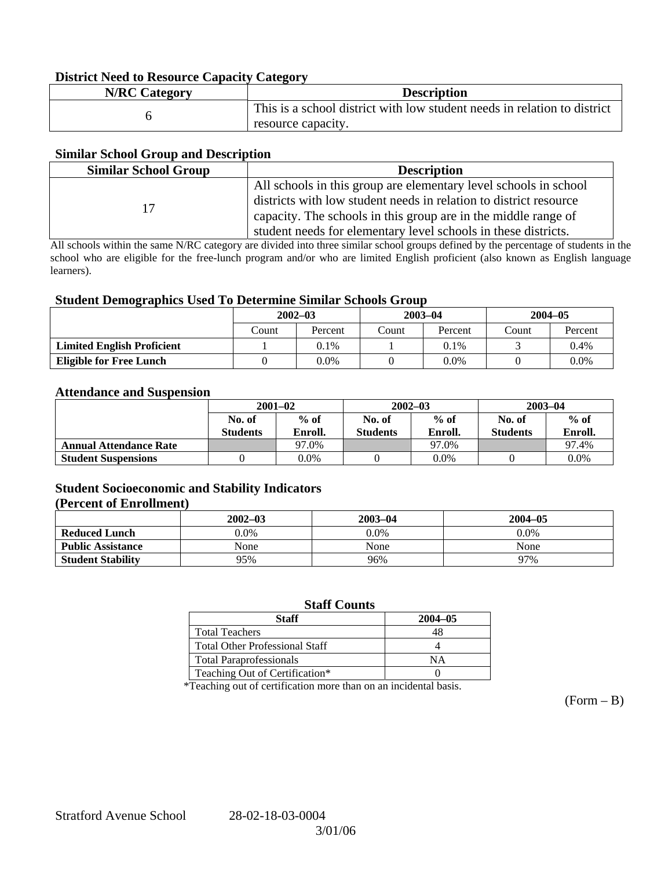### **District Need to Resource Capacity Category**

| <b>N/RC Category</b> | <b>Description</b>                                                       |
|----------------------|--------------------------------------------------------------------------|
|                      | This is a school district with low student needs in relation to district |
|                      | resource capacity.                                                       |

### **Similar School Group and Description**

| <b>Similar School Group</b><br><b>Description</b> |                                                                                                                                                                                                                                                                           |  |  |
|---------------------------------------------------|---------------------------------------------------------------------------------------------------------------------------------------------------------------------------------------------------------------------------------------------------------------------------|--|--|
|                                                   | All schools in this group are elementary level schools in school<br>districts with low student needs in relation to district resource<br>capacity. The schools in this group are in the middle range of<br>student needs for elementary level schools in these districts. |  |  |

All schools within the same N/RC category are divided into three similar school groups defined by the percentage of students in the school who are eligible for the free-lunch program and/or who are limited English proficient (also known as English language learners).

#### **Student Demographics Used To Determine Similar Schools Group**

| ີ                                 | $2002 - 03$ |         | $2003 - 04$ |         | $2004 - 05$ |         |
|-----------------------------------|-------------|---------|-------------|---------|-------------|---------|
|                                   | Count       | Percent | Count       | Percent | Count       | Percent |
| <b>Limited English Proficient</b> |             | 0.1%    |             | $0.1\%$ |             | 0.4%    |
| <b>Eligible for Free Lunch</b>    |             | 0.0%    |             | 0.0%    |             | $0.0\%$ |

#### **Attendance and Suspension**

|                               | $2001 - 02$               |                   |                           | $2002 - 03$       | $2003 - 04$               |                   |  |
|-------------------------------|---------------------------|-------------------|---------------------------|-------------------|---------------------------|-------------------|--|
|                               | No. of<br><b>Students</b> | $%$ of<br>Enroll. | No. of<br><b>Students</b> | $%$ of<br>Enroll. | No. of<br><b>Students</b> | $%$ of<br>Enroll. |  |
| <b>Annual Attendance Rate</b> |                           | 97.0%             |                           | 97.0%             |                           | 97.4%             |  |
| <b>Student Suspensions</b>    |                           | $0.0\%$           |                           | 0.0%              |                           | 0.0%              |  |

## **Student Socioeconomic and Stability Indicators**

#### **(Percent of Enrollment)**

|                          | $2002 - 03$ | $2003 - 04$ | $2004 - 05$ |
|--------------------------|-------------|-------------|-------------|
| <b>Reduced Lunch</b>     | $0.0\%$     | $0.0\%$     | $0.0\%$     |
| <b>Public Assistance</b> | None        | None        | None        |
| <b>Student Stability</b> | 95%         | 96%         | 97%         |

## **Staff Counts**

| Staff                                 | $2004 - 05$ |
|---------------------------------------|-------------|
| <b>Total Teachers</b>                 |             |
| <b>Total Other Professional Staff</b> |             |
| <b>Total Paraprofessionals</b>        | NΑ          |
| Teaching Out of Certification*        |             |

\*Teaching out of certification more than on an incidental basis.

 $(Form - B)$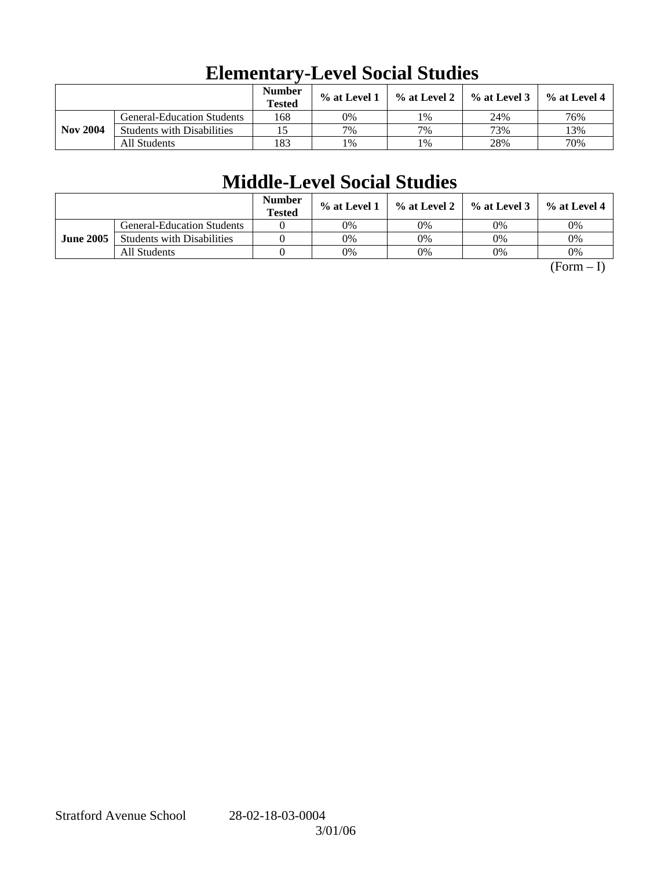|                 |                                   | <b>Number</b><br><b>Tested</b> | $%$ at Level 1 | $\%$ at Level 2 | $%$ at Level 3 | $%$ at Level 4 |
|-----------------|-----------------------------------|--------------------------------|----------------|-----------------|----------------|----------------|
|                 | <b>General-Education Students</b> | 168                            | 0%             | 1%              | 24%            | 76%            |
| <b>Nov 2004</b> | <b>Students with Disabilities</b> |                                | 7%             | 7%              | 73%            | 13%            |
|                 | All Students                      | 183                            | 1%             | 1%              | 28%            | 70%            |

# **Elementary-Level Social Studies**

# **Middle-Level Social Studies**

|                  |                                   | <b>Number</b><br><b>Tested</b> | $\%$ at Level 1 | $\%$ at Level 2 $\parallel$ | $\%$ at Level 3 | $\%$ at Level 4 |
|------------------|-----------------------------------|--------------------------------|-----------------|-----------------------------|-----------------|-----------------|
|                  | <b>General-Education Students</b> |                                | 0%              | 0%                          | 0%              | 0%              |
| <b>June 2005</b> | <b>Students with Disabilities</b> |                                | 0%              | 0%                          | 0%              | 0%              |
|                  | All Students                      |                                | 0%              | 0%                          | 0%              | 0%              |

 $(Form - I)$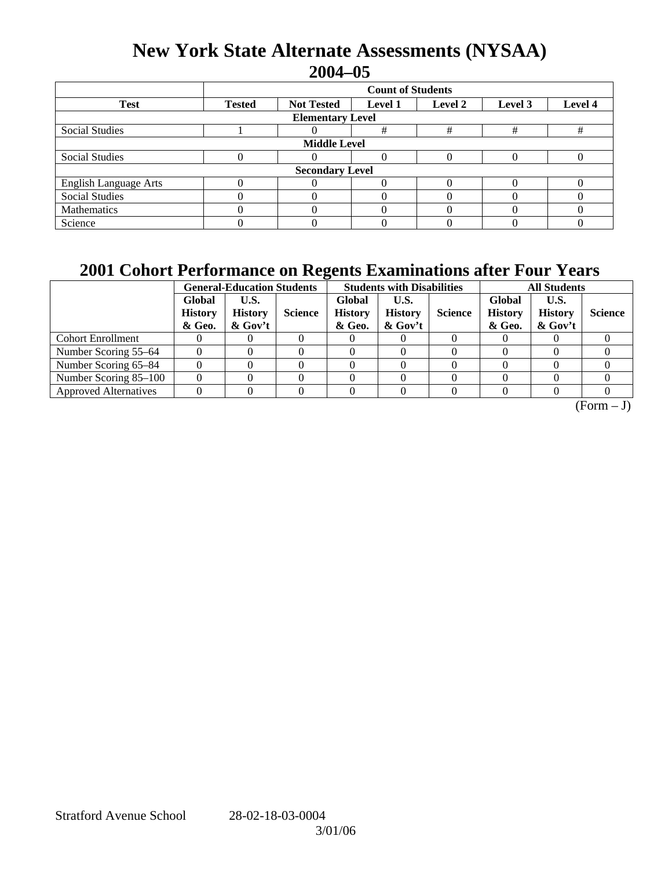# **New York State Alternate Assessments (NYSAA) 2004–05**

|                              | <b>Count of Students</b>                                                              |  |   |   |   |   |  |  |  |
|------------------------------|---------------------------------------------------------------------------------------|--|---|---|---|---|--|--|--|
| <b>Test</b>                  | Level 4<br><b>Tested</b><br><b>Not Tested</b><br><b>Level 1</b><br>Level 2<br>Level 3 |  |   |   |   |   |  |  |  |
| <b>Elementary Level</b>      |                                                                                       |  |   |   |   |   |  |  |  |
| <b>Social Studies</b>        |                                                                                       |  | # | # | # | # |  |  |  |
| <b>Middle Level</b>          |                                                                                       |  |   |   |   |   |  |  |  |
| <b>Social Studies</b>        |                                                                                       |  |   |   |   |   |  |  |  |
| <b>Secondary Level</b>       |                                                                                       |  |   |   |   |   |  |  |  |
| <b>English Language Arts</b> |                                                                                       |  |   |   |   |   |  |  |  |
| <b>Social Studies</b>        |                                                                                       |  |   |   |   |   |  |  |  |
| Mathematics                  |                                                                                       |  |   |   |   |   |  |  |  |
| Science                      |                                                                                       |  |   |   |   |   |  |  |  |

# **2001 Cohort Performance on Regents Examinations after Four Years**

|                              | <b>General-Education Students</b>  |                                      |                | <b>Students with Disabilities</b>  |                                      |                | <b>All Students</b>                |                                      |                |
|------------------------------|------------------------------------|--------------------------------------|----------------|------------------------------------|--------------------------------------|----------------|------------------------------------|--------------------------------------|----------------|
|                              | Global<br><b>History</b><br>& Geo. | U.S.<br><b>History</b><br>$\&$ Gov't | <b>Science</b> | Global<br><b>History</b><br>& Geo. | U.S.<br><b>History</b><br>$\&$ Gov't | <b>Science</b> | Global<br><b>History</b><br>& Geo. | U.S.<br><b>History</b><br>$\&$ Gov't | <b>Science</b> |
| <b>Cohort Enrollment</b>     |                                    |                                      |                |                                    |                                      |                |                                    |                                      |                |
| Number Scoring 55–64         |                                    |                                      |                |                                    |                                      |                |                                    |                                      |                |
| Number Scoring 65-84         |                                    |                                      |                |                                    |                                      |                |                                    |                                      |                |
| Number Scoring 85-100        |                                    |                                      |                |                                    |                                      |                |                                    |                                      |                |
| <b>Approved Alternatives</b> |                                    |                                      |                |                                    |                                      |                |                                    |                                      |                |

 $\overline{(Form - J)}$